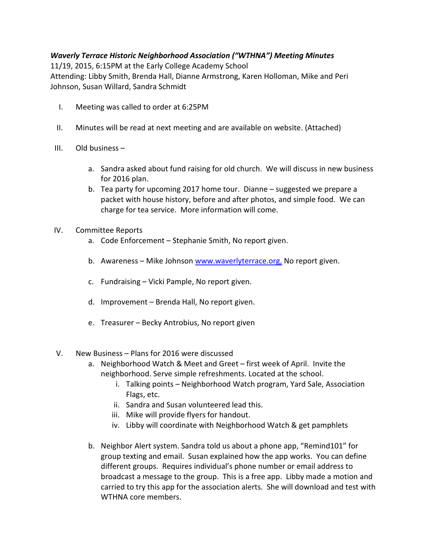## Waverly Terrace Historic Neighborhood Association ("WTHNA") Meeting Minutes

11/19, 2015, 6:15PM at the Early College Academy School Attending: Libby Smith, Brenda Hall, Dianne Armstrong, Karen Holloman, Mike and Peri Johnson, Susan Willard, Sandra Schmidt

- I. Meeting was called to order at 6:25PM
- II. Minutes will be read at next meeting and are available on website. (Attached)
- III. Old business
	- a. Sandra asked about fund raising for old church. We will discuss in new business for 2016 plan.
	- b. Tea party for upcoming 2017 home tour. Dianne suggested we prepare a packet with house history, before and after photos, and simple food. We can charge for tea service. More information will come.
- IV. Committee Reports
	- a. Code Enforcement Stephanie Smith, No report given.
	- b. Awareness Mike Johnson www.waverlyterrace.org, No report given.
	- c. Fundraising Vicki Pample, No report given.
	- d. Improvement Brenda Hall, No report given.
	- e. Treasurer Becky Antrobius, No report given
- V. New Business Plans for 2016 were discussed
	- a. Neighborhood Watch & Meet and Greet first week of April. Invite the neighborhood. Serve simple refreshments. Located at the school.
		- i. Talking points Neighborhood Watch program, Yard Sale, Association Flags, etc.
		- ii. Sandra and Susan volunteered lead this.
		- iii. Mike will provide flyers for handout.
		- iv. Libby will coordinate with Neighborhood Watch & get pamphlets
	- b. Neighbor Alert system. Sandra told us about a phone app, "Remind101" for group texting and email. Susan explained how the app works. You can define different groups. Requires individual's phone number or email address to broadcast a message to the group. This is a free app. Libby made a motion and carried to try this app for the association alerts. She will download and test with WTHNA core members.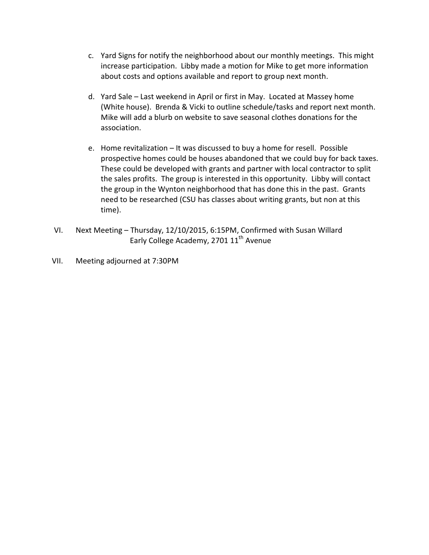- c. Yard Signs for notify the neighborhood about our monthly meetings. This might increase participation. Libby made a motion for Mike to get more information about costs and options available and report to group next month.
- d. Yard Sale Last weekend in April or first in May. Located at Massey home (White house). Brenda & Vicki to outline schedule/tasks and report next month. Mike will add a blurb on website to save seasonal clothes donations for the association.
- e. Home revitalization It was discussed to buy a home for resell. Possible prospective homes could be houses abandoned that we could buy for back taxes. These could be developed with grants and partner with local contractor to split the sales profits. The group is interested in this opportunity. Libby will contact the group in the Wynton neighborhood that has done this in the past. Grants need to be researched (CSU has classes about writing grants, but non at this time).
- VI. Next Meeting Thursday, 12/10/2015, 6:15PM, Confirmed with Susan Willard Early College Academy, 2701 11<sup>th</sup> Avenue
- VII. Meeting adjourned at 7:30PM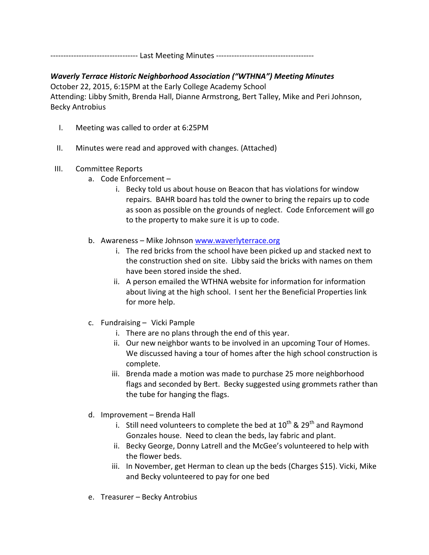---------------------------------- Last Meeting Minutes --------------------------------------

## Waverly Terrace Historic Neighborhood Association ("WTHNA") Meeting Minutes

October 22, 2015, 6:15PM at the Early College Academy School Attending: Libby Smith, Brenda Hall, Dianne Armstrong, Bert Talley, Mike and Peri Johnson, Becky Antrobius

- I. Meeting was called to order at 6:25PM
- II. Minutes were read and approved with changes. (Attached)

## III. Committee Reports

- a. Code Enforcement
	- i. Becky told us about house on Beacon that has violations for window repairs. BAHR board has told the owner to bring the repairs up to code as soon as possible on the grounds of neglect. Code Enforcement will go to the property to make sure it is up to code.
- b. Awareness Mike Johnson www.waverlyterrace.org
	- i. The red bricks from the school have been picked up and stacked next to the construction shed on site. Libby said the bricks with names on them have been stored inside the shed.
	- ii. A person emailed the WTHNA website for information for information about living at the high school. I sent her the Beneficial Properties link for more help.
- c. Fundraising Vicki Pample
	- i. There are no plans through the end of this year.
	- ii. Our new neighbor wants to be involved in an upcoming Tour of Homes. We discussed having a tour of homes after the high school construction is complete.
	- iii. Brenda made a motion was made to purchase 25 more neighborhood flags and seconded by Bert. Becky suggested using grommets rather than the tube for hanging the flags.
- d. Improvement Brenda Hall
	- i. Still need volunteers to complete the bed at  $10^{th}$  &  $29^{th}$  and Raymond Gonzales house. Need to clean the beds, lay fabric and plant.
	- ii. Becky George, Donny Latrell and the McGee's volunteered to help with the flower beds.
	- iii. In November, get Herman to clean up the beds (Charges \$15). Vicki, Mike and Becky volunteered to pay for one bed
- e. Treasurer Becky Antrobius